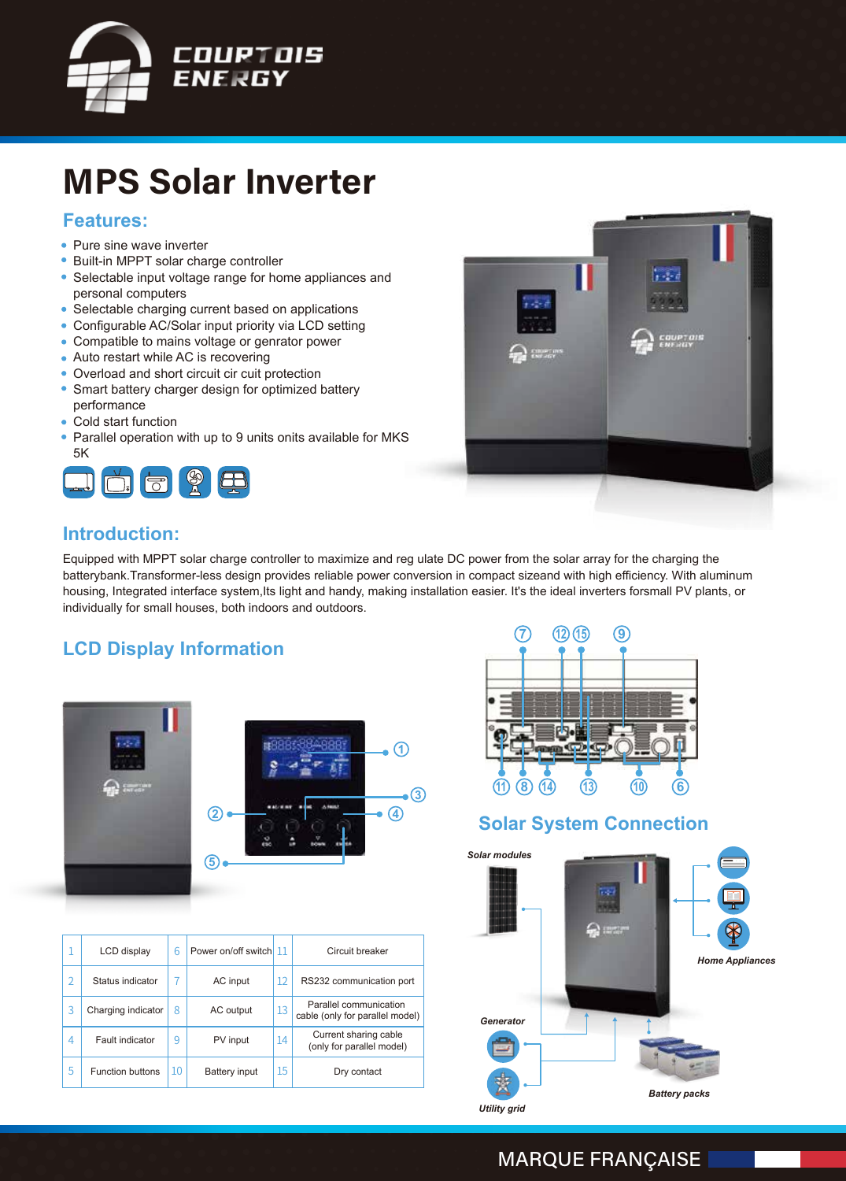

# **MPS Solar Inverter**

### **Features:**

- Pure sine wave inverter
- Built-in MPPT solar charge controller  $\bullet$
- Selectable input voltage range for home appliances and personal computers
- Selectable charging current based on applications
- Configurable AC/Solar input priority via LCD setting
- Compatible to mains voltage or genrator power
- Auto restart while AC is recovering
- Overload and short circuit cir cuit protection
- Smart battery charger design for optimized battery performance
- Cold start function
- $\bullet$ Parallel operation with up to 9 units onits available for MKS 5K





### **Introduction:**

Equipped with MPPT solar charge controller to maximize and reg ulate DC power from the solar array for the charging the batterybank.Transformer-less design provides reliable power conversion in compact sizeand with high efficiency. With aluminum housing, Integrated interface system,Its light and handy, making installation easier. It's the ideal inverters forsmall PV plants, or individually for small houses, both indoors and outdoors.

## **LCD Display Information**









## **Solar System Connection**



*Utility grid*

### **MARQUE FRANÇAISE**